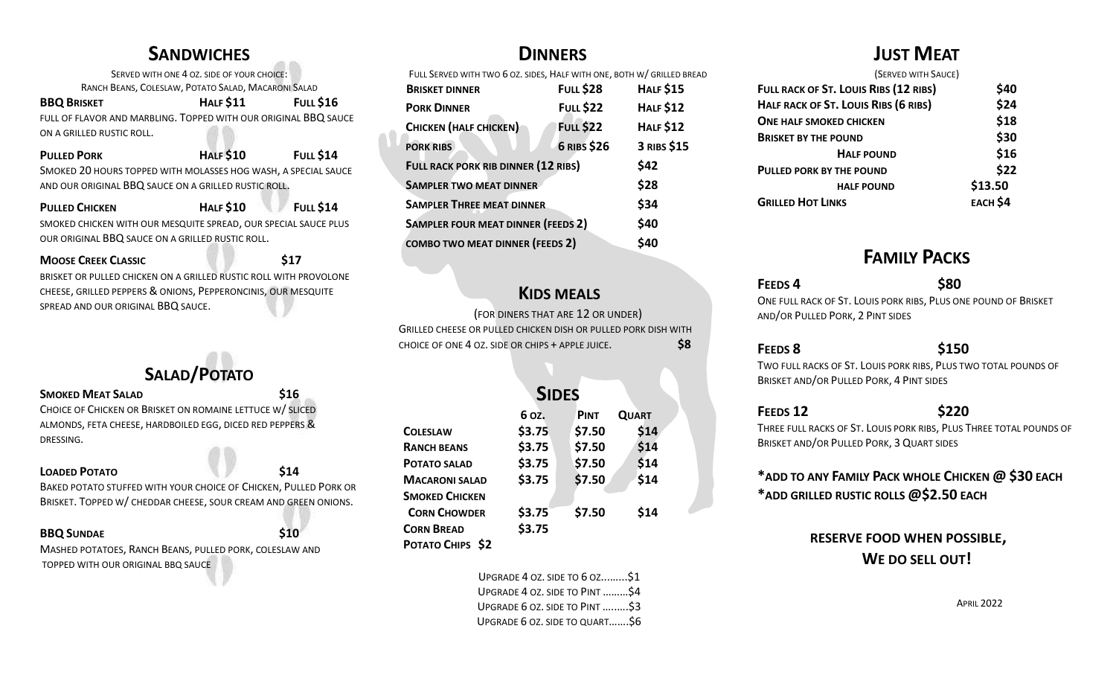## **SANDWICHES**

SERVED WITH ONE 4 OZ. SIDE OF YOUR CHOICE: RANCH BEANS, COLESLAW, POTATO SALAD, MACARONI SALAD **BBQ BRISKET HALF \$11 FULL \$16** FULL OF FLAVOR AND MARBLING. TOPPED WITH OUR ORIGINAL BBQ SAUCE ON A GRILLED RUSTIC ROLL.

| <b>PULLED PORK</b>                                             | <b>HALF \$10</b> | <b>FULL \$14</b> |
|----------------------------------------------------------------|------------------|------------------|
| SMOKED 20 HOURS TOPPED WITH MOLASSES HOG WASH, A SPECIAL SAUCE |                  |                  |
| AND OUR ORIGINAL BBQ SAUCE ON A GRILLED RUSTIC ROLL.           |                  |                  |

**PULLED CHICKEN HALF \$10 FULL \$14** SMOKED CHICKEN WITH OUR MESQUITE SPREAD, OUR SPECIAL SAUCE PLUS OUR ORIGINAL BBQ SAUCE ON A GRILLED RUSTIC ROLL.

**MOOSE CREEK CLASSIC 617** BRISKET OR PULLED CHICKEN ON A GRILLED RUSTIC ROLL WITH PROVOLONE CHEESE, GRILLED PEPPERS & ONIONS, PEPPERONCINIS, OUR MESQUITE SPREAD AND OUR ORIGINAL BBQ SAUCE.

# **SALAD/POTATO**

#### **SMOKED MEAT SALAD \$16**

CHOICE OF CHICKEN OR BRISKET ON ROMAINE LETTUCE W/ SLICED ALMONDS, FETA CHEESE, HARDBOILED EGG, DICED RED PEPPERS & DRESSING.

#### **LOADED POTATO \$14**

BAKED POTATO STUFFED WITH YOUR CHOICE OF CHICKEN, PULLED PORK OR BRISKET. TOPPED W/ CHEDDAR CHEESE, SOUR CREAM AND GREEN ONIONS.

#### **BBQ SUNDAE \$10**

MASHED POTATOES, RANCH BEANS, PULLED PORK, COLESLAW AND TOPPED WITH OUR ORIGINAL BBQ SAUCE

## **DINNERS**

FULL SERVED WITH TWO 6 OZ. SIDES, HALF WITH ONE, BOTH W/ GRILLED BREAD

| <b>BRISKET DINNER</b>                      | <b>FULL \$28</b> | <b>HALF \$15</b> |
|--------------------------------------------|------------------|------------------|
| <b>PORK DINNER</b>                         | <b>FULL \$22</b> | <b>HALF \$12</b> |
| <b>CHICKEN (HALF CHICKEN)</b>              | <b>FULL \$22</b> | <b>HALF \$12</b> |
| <b>PORK RIBS</b>                           | 6 RIBS \$26      | 3 RIBS \$15      |
| <b>FULL RACK PORK RIB DINNER (12 RIBS)</b> |                  | \$42             |
| <b>SAMPLER TWO MEAT DINNER</b>             |                  | \$28             |
| <b>SAMPLER THREE MEAT DINNER</b>           |                  | \$34             |
| <b>SAMPLER FOUR MEAT DINNER (FEEDS 2)</b>  |                  | \$40             |
| <b>COMBO TWO MEAT DINNER (FEEDS 2)</b>     |                  | <b>\$40</b>      |
|                                            |                  |                  |

## **KIDS MEALS**

(FOR DINERS THAT ARE 12 OR UNDER) GRILLED CHEESE OR PULLED CHICKEN DISH OR PULLED PORK DISH WITH CHOICE OF ONE 4 OZ. SIDE OR CHIPS + APPLE JUICE. **\$8** 

|                       | <b>SIDES</b> |             |              |
|-----------------------|--------------|-------------|--------------|
|                       | 6 oz.        | <b>PINT</b> | <b>QUART</b> |
| <b>COLESLAW</b>       | \$3.75       | \$7.50      | \$14         |
| <b>RANCH BEANS</b>    | \$3.75       | \$7.50      | \$14         |
| <b>POTATO SALAD</b>   | \$3.75       | \$7.50      | \$14         |
| <b>MACARONI SALAD</b> | \$3.75       | \$7.50      | \$14         |
| <b>SMOKED CHICKEN</b> |              |             |              |
| <b>CORN CHOWDER</b>   | \$3.75       | \$7.50      | \$14         |
| <b>CORN BREAD</b>     | \$3.75       |             |              |
| POTATO CHIPS \$2      |              |             |              |

UPGRADE 4 OZ. SIDE TO 6 OZ...…...\$1 UPGRADE 4 OZ. SIDE TO PINT ………\$4

UPGRADE 6 OZ. SIDE TO PINT …..….\$3

UPGRADE 6 OZ. SIDE TO QUART…….\$6

## **JUST MEAT**

| (SERVED WITH SAUCE)                   |                 |
|---------------------------------------|-----------------|
| FULL RACK OF ST. LOUIS RIBS (12 RIBS) | \$40            |
| HALF RACK OF ST. LOUIS RIBS (6 RIBS)  | \$24            |
| <b>ONE HALF SMOKED CHICKEN</b>        | \$18            |
| <b>BRISKET BY THE POUND</b>           | \$30            |
| <b>HALF POUND</b>                     | \$16            |
| PULLED PORK BY THE POUND              | \$22            |
| <b>HALF POUND</b>                     | \$13.50         |
| <b>GRILLED HOT LINKS</b>              | <b>EACH \$4</b> |

# **FAMILY PACKS**

#### **FEEDS 4 \$80**  ONE FULL RACK OF ST. LOUIS PORK RIBS, PLUS ONE POUND OF BRISKET AND/OR PULLED PORK, 2 PINT SIDES

#### **FEEDS 8 \$150**

TWO FULL RACKS OF ST. LOUIS PORK RIBS, PLUS TWO TOTAL POUNDS OF BRISKET AND/OR PULLED PORK, 4 PINT SIDES

#### **FEEDS 12 \$220**

THREE FULL RACKS OF ST. LOUIS PORK RIBS, PLUS THREE TOTAL POUNDS OF BRISKET AND/OR PULLED PORK, 3 QUART SIDES

#### **\*ADD TO ANY FAMILY PACK WHOLE CHICKEN @ \$30 EACH \*ADD GRILLED RUSTIC ROLLS @\$2.50 EACH**

### **RESERVE FOOD WHEN POSSIBLE, WE DO SELL OUT!**

APRIL 2022